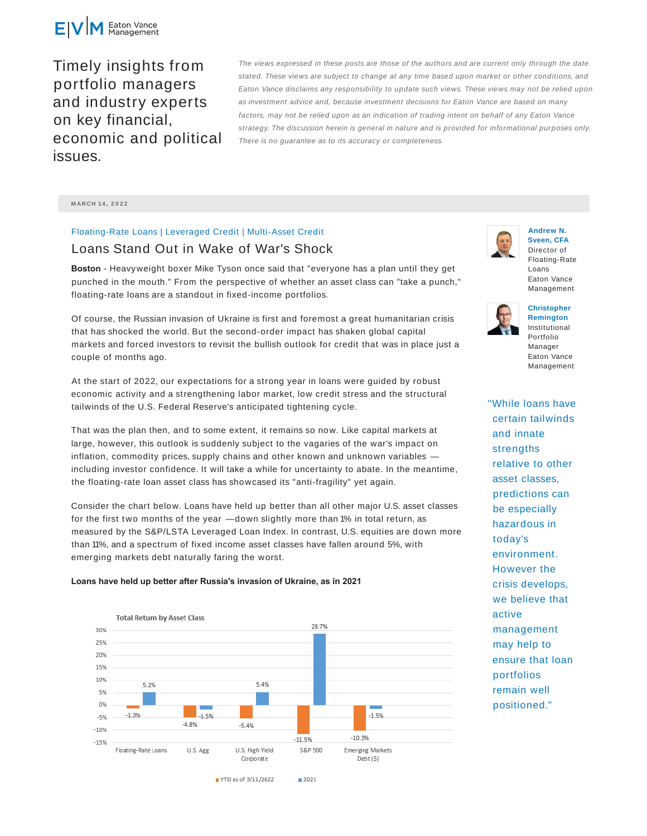

Timely insights from portfolio managers and industry experts on key financial, economic and political issues.

The views expressed in these posts are those of the authors and are current only through the date stated. These views are subject to change at any time based upon market or other conditions, and Eaton Vance disclaims any responsibility to update such views. These views may not be relied upon as investment advice and, because investment decisions for Eaton Vance are based on many factors, may not be relied upon as an indication of trading intent on behalf of any Eaton Vance strategy. The discussion herein is general in nature and is provided for informational purposes only. There is no guarantee as to its accuracy or completeness.

**M ARCH 14 , 2 0 2 2**

## Floating-Rate Loans | Leveraged Credit | Multi-Asset Credit

# Loans Stand Out in Wake of War's Shock

**Boston** - Heavyweight boxer Mike Tyson once said that "everyone has a plan until they get punched in the mouth." From the perspective of whether an asset class can "take a punch," floating-rate loans are a standout in fixed-income portfolios.

Of course, the Russian invasion of Ukraine is first and foremost a great humanitarian crisis that has shocked the world. But the second-order impact has shaken global capital markets and forced investors to revisit the bullish outlook for credit that was in place just a couple of months ago.

At the start of 2022, our expectations for a strong year in loans were guided by robust economic activity and a strengthening labor market, low credit stress and the structural tailwinds of the U.S. Federal Reserve's anticipated tightening cycle.

That was the plan then, and to some extent, it remains so now. Like capital markets at large, however, this outlook is suddenly subject to the vagaries of the war's impact on inflation, commodity prices, supply chains and other known and unknown variables including investor confidence. It will take a while for uncertainty to abate. In the meantime, the floating-rate loan asset class has showcased its "anti-fragility" yet again.

Consider the chart below. Loans have held up better than all other major U.S. asset classes for the first two months of the year —down slightly more than 1% in total return, as measured by the S&P/LSTA Leveraged Loan Index. In contrast, U.S. equities are down more than 11%, and a spectrum of fixed income asset classes have fallen around 5%, with emerging markets debt naturally faring the worst.

#### **Loans have held up better after Russia's invasion of Ukraine, as in 2021**





**Andrew N. Sveen, CFA** Director of



**Christopher Remington** Institutional Portfolio Manager Eaton Vance Management

"While loans have certain tailwinds and innate strengths relative to other asset classes, predictions can be especially hazardous in today's environment. However the crisis develops, we believe that active management may help to ensure that loan portfolios remain well positioned."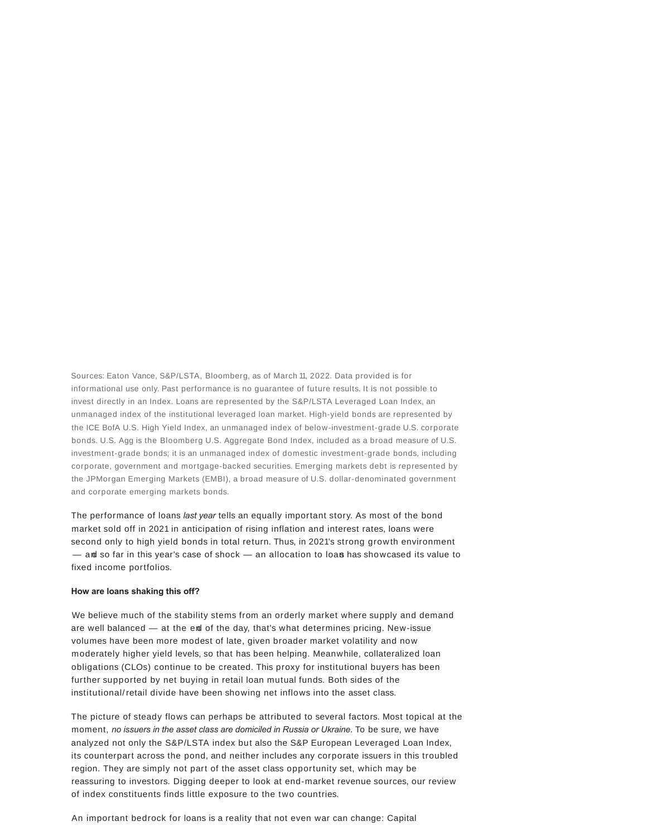Sources: Eaton Vance, S&P/LSTA, Bloomberg, as of March 11, 2022. Data provided is for informational use only. Past performance is no guarantee of future results. It is not possible to invest directly in an Index. Loans are represented by the S&P/LSTA Leveraged Loan Index, an unmanaged index of the institutional leveraged loan market. High-yield bonds are represented by the ICE BofA U.S. High Yield Index, an unmanaged index of below-investment-grade U.S. corporate bonds. U.S. Agg is the Bloomberg U.S. Aggregate Bond Index, included as a broad measure of U.S. investment-grade bonds; it is an unmanaged index of domestic investment-grade bonds, including corporate, government and mortgage-backed securities. Emerging markets debt is represented by the JPMorgan Emerging Markets (EMBI), a broad measure of U.S. dollar-denominated government and corporate emerging markets bonds.

The performance of loans *last year* tells an equally important story. As most of the bond market sold off in 2021 in anticipation of rising inflation and interest rates, loans were second only to high yield bonds in total return. Thus, in 2021's strong growth environment — and so far in this year's case of shock — an allocation to loans has showcased its value to fixed income portfolios.

#### **How are loans shaking this off?**

We believe much of the stability stems from an orderly market where supply and demand are well balanced — at the end of the day, that's what determines pricing. New-issue volumes have been more modest of late, given broader market volatility and now moderately higher yield levels, so that has been helping. Meanwhile, collateralized loan obligations (CLOs) continue to be created. This proxy for institutional buyers has been further supported by net buying in retail loan mutual funds. Both sides of the institutional/retail divide have been showing net inflows into the asset class.

The picture of steady flows can perhaps be attributed to several factors. Most topical at the moment, *no issuers in the asset class are domiciled in Russia or Ukraine*. To be sure, we have analyzed not only the S&P/LSTA index but also the S&P European Leveraged Loan Index, its counterpart across the pond, and neither includes any corporate issuers in this troubled region. They are simply not part of the asset class opportunity set, which may be reassuring to investors. Digging deeper to look at end-market revenue sources, our review of index constituents finds little exposure to the two countries.

An important bedrock for loans is a reality that not even war can change: Capital